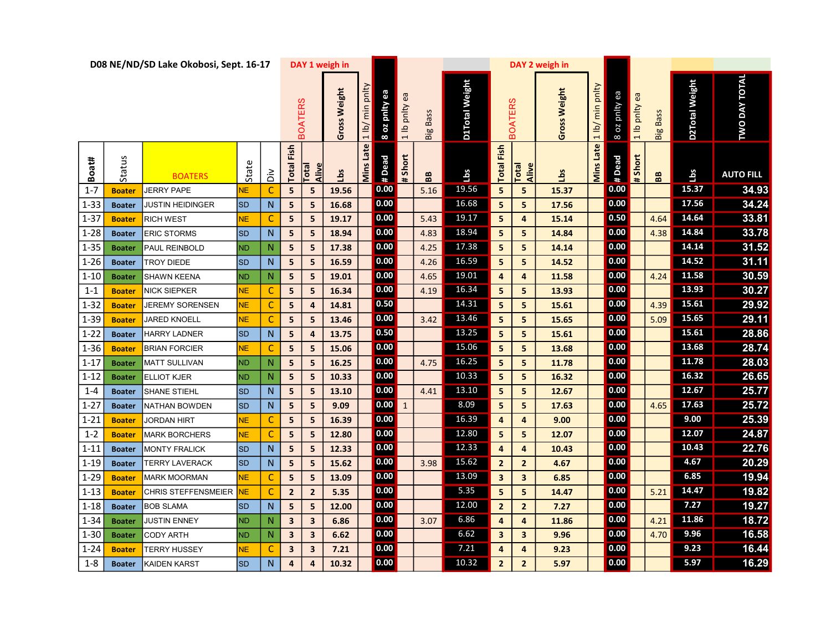|               |               | D08 NE/ND/SD Lake Okobosi, Sept. 16-17 |           |               |                         |                | DAY 1 weigh in |                                          |               |               |                 |                       |                         |                | DAY 2 weigh in |                                 |                |               |                   |                |                      |  |
|---------------|---------------|----------------------------------------|-----------|---------------|-------------------------|----------------|----------------|------------------------------------------|---------------|---------------|-----------------|-----------------------|-------------------------|----------------|----------------|---------------------------------|----------------|---------------|-------------------|----------------|----------------------|--|
|               |               |                                        |           |               |                         | <b>BOATERS</b> | Gross Weight   | pnlty<br>$\overline{\text{min}}$<br> 1 b | 8 oz pnity ea | 1 lb pnlty ea | <b>Big Bass</b> | <b>D1Total Weight</b> |                         | <b>BOATERS</b> | Gross Weight   | pnity<br>$\overline{m}$<br> 1 b | 8 oz pnlty ea  | 1 lb pnity ea | <b>Big Bass</b>   | D2Total Weight | <b>TWO DAY TOTAL</b> |  |
| Boat#         | Status        | <b>BOATERS</b>                         | State     | $\frac{2}{5}$ | Fish<br>Total           | Alive<br>Total | Lbs            | <b>Mins Late</b>                         | # Dead        | # Short       | BB              | Lbs                   | Fish<br><b>Total</b>    | Alive<br>Total | Lbs            | <b>Mins Late</b>                | # Dead         | # Short       | ${\bf B} {\bf B}$ | Lbs            | <b>AUTO FILL</b>     |  |
| $1 - 7$       | <b>Boate</b>  | <b>JERRY PAPE</b>                      | NЕ.       | C             | 5                       | 5              | 19.56          |                                          | 0.00          |               | 5.16            | 19.56                 | 5                       | 5              | 15.37          |                                 | 0.00           |               |                   | 15.37          | 34.93                |  |
| $1 - 33$      | <b>Boater</b> | <b>JUSTIN HEIDINGER</b>                | <b>SD</b> | N             | 5                       | 5              | 16.68          |                                          | 0.00          |               |                 | 16.68                 | 5                       | 5              | 17.56          |                                 | 0.00           |               |                   | 17.56          | 34.24                |  |
| $1 - 37$      | <b>Boater</b> | <b>RICH WEST</b>                       | NE.       | C             | 5                       | 5              | 19.17          |                                          | 0.00          |               | 5.43            | 19.17                 | 5                       | 4              | 15.14          |                                 | 0.50           |               | 4.64              | 14.64          | 33.81                |  |
| $1 - 28$      | <b>Boater</b> | <b>ERIC STORMS</b>                     | <b>SD</b> | N             | 5                       | 5              | 18.94          |                                          | 0.00          |               | 4.83            | 18.94                 | 5                       | 5              | 14.84          |                                 | 0.00           |               | 4.38              | 14.84          | 33.78                |  |
| $\sqrt{1-35}$ | <b>Boater</b> | PAUL REINBOLD                          | ND.       | N             | 5                       | 5              | 17.38          |                                          | 0.00          |               | 4.25            | 17.38                 | 5                       | 5              | 14.14          |                                 | 0.00           |               |                   | 14.14          | 31.52                |  |
| $1 - 26$      | <b>Boater</b> | <b>TROY DIEDE</b>                      | <b>SD</b> | N             | 5                       | 5              | 16.59          |                                          | 0.00          |               | 4.26            | 16.59                 | $\overline{\mathbf{5}}$ | 5              | 14.52          |                                 | 0.00           |               |                   | 14.52          | 31.11                |  |
| $1 - 10$      | <b>Boater</b> | SHAWN KEENA                            | <b>ND</b> | N             | 5                       | 5              | 19.01          |                                          | 0.00          |               | 4.65            | 19.01                 | 4                       | 4              | 11.58          |                                 | 0.00           |               | 4.24              | 11.58          | 30.59                |  |
| $1 - 1$       | <b>Boater</b> | <b>NICK SIEPKER</b>                    | NЕ.       | C             | 5                       | 5              | 16.34          |                                          | 0.00          |               | 4.19            | 16.34                 | 5                       | 5              | 13.93          |                                 | 0.00           |               |                   | 13.93          | 30.27                |  |
| $1 - 32$      | <b>Boater</b> | JEREMY SORENSEN                        | NЕ.       | C             | 5                       | 4              | 14.81          |                                          | 0.50          |               |                 | 14.31                 | 5                       | 5              | 15.61          |                                 | 0.00           |               | 4.39              | 15.61          | 29.92                |  |
| $1 - 39$      | <b>Boater</b> | <b>JARED KNOELL</b>                    | NЕ,       | C             | 5                       | 5              | 13.46          |                                          | 0.00          |               | 3.42            | 13.46                 | 5                       | 5              | 15.65          |                                 | $\boxed{0.00}$ |               | 5.09              | 15.65          | 29.11                |  |
| $1 - 22$      | <b>Boater</b> | <b>HARRY LADNER</b>                    | <b>SD</b> | N             | 5                       | 4              | 13.75          |                                          | 0.50          |               |                 | 13.25                 | $\overline{\mathbf{5}}$ | 5              | 15.61          |                                 | 0.00           |               |                   | 15.61          | 28.86                |  |
| $1 - 36$      | <b>Boater</b> | <b>BRIAN FORCIER</b>                   | NE.       | C             | 5                       | 5              | 15.06          |                                          | 0.00          |               |                 | 15.06                 | 5                       | 5              | 13.68          |                                 | 0.00           |               |                   | 13.68          | 28.74                |  |
| $1 - 17$      | <b>Boater</b> | <b>MATT SULLIVAN</b>                   | <b>ND</b> | $\mathsf{N}$  | 5                       | 5              | 16.25          |                                          | 0.00          |               | 4.75            | 16.25                 | 5                       | 5              | 11.78          |                                 | 0.00           |               |                   | 11.78          | 28.03                |  |
| $1 - 12$      | <b>Boater</b> | <b>ELLIOT KJER</b>                     | <b>ND</b> | $\mathsf{N}$  | 5                       | 5              | 10.33          |                                          | 0.00          |               |                 | 10.33                 | 5                       | 5              | 16.32          |                                 | 0.00           |               |                   | 16.32          | 26.65                |  |
| $1 - 4$       | <b>Boater</b> | <b>SHANE STIEHL</b>                    | <b>SD</b> | N             | 5                       | 5              | 13.10          |                                          | 0.00          |               | 4.41            | 13.10                 | 5                       | 5              | 12.67          |                                 | 0.00           |               |                   | 12.67          | 25.77                |  |
| $1 - 27$      | <b>Boater</b> | <b>NATHAN BOWDEN</b>                   | <b>SD</b> | N             | 5                       | 5              | 9.09           |                                          | 0.00          | $\mathbf{1}$  |                 | 8.09                  | $\overline{\mathbf{5}}$ | 5              | 17.63          |                                 | 0.00           |               | 4.65              | 17.63          | 25.72                |  |
| $1 - 21$      | <b>Boater</b> | JORDAN HIRT                            | NE.       | C             | 5                       | 5              | 16.39          |                                          | 0.00          |               |                 | 16.39                 | 4                       | $\overline{4}$ | 9.00           |                                 | 0.00           |               |                   | 9.00           | 25.39                |  |
| $1 - 2$       | <b>Boater</b> | <b>MARK BORCHERS</b>                   | NE.       | C             | 5                       | 5              | 12.80          |                                          | 0.00          |               |                 | 12.80                 | $5\phantom{.0}$         | 5              | 12.07          |                                 | 0.00           |               |                   | 12.07          | 24.87                |  |
| $1 - 11$      | <b>Boater</b> | <b>MONTY FRALICK</b>                   | <b>SD</b> | N             | 5                       | 5              | 12.33          |                                          | 0.00          |               |                 | 12.33                 | $\overline{\mathbf{a}}$ | 4              | 10.43          |                                 | 0.00           |               |                   | 10.43          | 22.76                |  |
| $1 - 19$      | <b>Boater</b> | TERRY LAVERACK                         | <b>SD</b> | N             | 5                       | 5              | 15.62          |                                          | 0.00          |               | 3.98            | 15.62                 | $\overline{2}$          | $\overline{2}$ | 4.67           |                                 | 0.00           |               |                   | 4.67           | 20.29                |  |
| $1 - 29$      | <b>Boate</b>  | <b>MARK MOORMAN</b>                    | NE.       | $\mathsf{C}$  | 5                       | 5              | 13.09          |                                          | 0.00          |               |                 | 13.09                 | $\mathsf 3$             | $\mathbf{3}$   | 6.85           |                                 | 0.00           |               |                   | 6.85           | 19.94                |  |
| $1 - 13$      | <b>Boater</b> | <b>CHRIS STEFFENSMEIER</b>             | <b>NE</b> | C             | $\overline{2}$          | $\overline{2}$ | 5.35           |                                          | 0.00          |               |                 | 5.35                  | 5                       | 5              | 14.47          |                                 | 0.00           |               | 5.21              | 14.47          | 19.82                |  |
| $1 - 18$      | <b>Boater</b> | <b>BOB SLAMA</b>                       | <b>SD</b> | N             | 5                       | 5              | 12.00          |                                          | 0.00          |               |                 | 12.00                 | $\overline{2}$          | $\overline{2}$ | 7.27           |                                 | 0.00           |               |                   | 7.27           | 19.27                |  |
| $1 - 34$      | <b>Boater</b> | <b>JUSTIN ENNEY</b>                    | ND.       | N             | $\overline{\mathbf{3}}$ | 3              | 6.86           |                                          | 0.00          |               | 3.07            | 6.86                  | 4                       | $\overline{4}$ | 11.86          |                                 | 0.00           |               | 4.21              | 11.86          | 18.72                |  |
| $1 - 30$      | <b>Boater</b> | <b>CODY ARTH</b>                       | ND.       | N             | $\overline{\mathbf{3}}$ | 3              | 6.62           |                                          | 0.00          |               |                 | 6.62                  | $\mathbf{3}$            | $\mathbf{3}$   | 9.96           |                                 | 0.00           |               | 4.70              | 9.96           | 16.58                |  |
| $1 - 24$      | <b>Boater</b> | TERRY HUSSEY                           | NЕ.       | $\mathsf{C}$  | $\overline{\mathbf{3}}$ | 3              | 7.21           |                                          | 0.00          |               |                 | 7.21                  | 4                       | 4              | 9.23           |                                 | 0.00           |               |                   | 9.23           | 16.44                |  |
| $1 - 8$       | <b>Boater</b> | <b>KAIDEN KARST</b>                    | <b>SD</b> | $\mathsf{N}$  | 4                       | 4              | 10.32          |                                          | 0.00          |               |                 | 10.32                 | $\mathbf{2}$            | $\mathbf{2}$   | 5.97           |                                 | 0.00           |               |                   | 5.97           | 16.29                |  |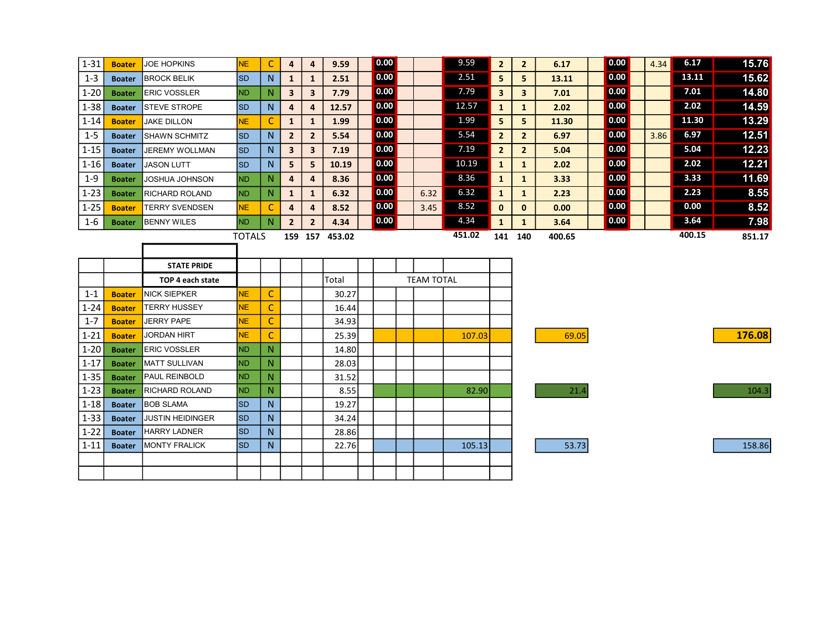| $1 - 31$ | <b>Boater</b> | <b>JOE HOPKINS</b>      | <b>NE</b>     | C              | 4                       | 4                       | 9.59           | 0.00 |                   | 9.59   | $\overline{2}$          | $\mathbf{2}$            | 6.17   | 0.00              | 4.34 | 6.17   | 15.76  |
|----------|---------------|-------------------------|---------------|----------------|-------------------------|-------------------------|----------------|------|-------------------|--------|-------------------------|-------------------------|--------|-------------------|------|--------|--------|
| $1 - 3$  | <b>Boater</b> | <b>BROCK BELIK</b>      | <b>SD</b>     | N              | $\mathbf{1}$            | $\mathbf{1}$            | 2.51           | 0.00 |                   | 2.51   | 5                       | 5                       | 13.11  | 0.00              |      | 13.11  | 15.62  |
| $1 - 20$ | <b>Boater</b> | <b>ERIC VOSSLER</b>     | IND.          | N              | $\overline{\mathbf{3}}$ | 3                       | 7.79           | 0.00 |                   | 7.79   | $\overline{\mathbf{3}}$ | $\overline{\mathbf{3}}$ | 7.01   | $\overline{0.00}$ |      | 7.01   | 14.80  |
| $1 - 38$ | <b>Boater</b> | <b>STEVE STROPE</b>     | <b>SD</b>     | N              | 4                       | 4                       | 12.57          | 0.00 |                   | 12.57  | $\mathbf{1}$            | $\mathbf{1}$            | 2.02   | 0.00              |      | 2.02   | 14.59  |
| $1 - 14$ | <b>Boater</b> | <b>JAKE DILLON</b>      | <b>NE</b>     | C              | $\mathbf{1}$            | $\mathbf{1}$            | 1.99           | 0.00 |                   | 1.99   | 5                       | 5                       | 11.30  | 0.00              |      | 11.30  | 13.29  |
| $1 - 5$  | <b>Boater</b> | <b>SHAWN SCHMITZ</b>    | <b>SD</b>     | N              | $\overline{2}$          | $\overline{2}$          | 5.54           | 0.00 |                   | 5.54   | $\overline{2}$          | $\mathbf{2}$            | 6.97   | 0.00              | 3.86 | 6.97   | 12.51  |
| $1 - 15$ | <b>Boater</b> | JEREMY WOLLMAN          | lsd           | N              | $\overline{\mathbf{3}}$ | $\overline{\mathbf{3}}$ | 7.19           | 0.00 |                   | 7.19   | $\overline{2}$          | $\overline{2}$          | 5.04   | 0.00              |      | 5.04   | 12.23  |
| $1 - 16$ | <b>Boater</b> | <b>JASON LUTT</b>       | <b>SD</b>     | N              | 5                       | 5                       | 10.19          | 0.00 |                   | 10.19  | $\mathbf{1}$            | $\mathbf{1}$            | 2.02   | 0.00              |      | 2.02   | 12.21  |
| $1 - 9$  | <b>Boater</b> | JOSHUA JOHNSON          | ND.           | N              | $\overline{4}$          | 4                       | 8.36           | 0.00 |                   | 8.36   | $\mathbf{1}$            | $\mathbf{1}$            | 3.33   | 0.00              |      | 3.33   | 11.69  |
| $1 - 23$ | <b>Boater</b> | RICHARD ROLAND          | <b>ND</b>     | N              | $\mathbf{1}$            | $\mathbf{1}$            | 6.32           | 0.00 | 6.32              | 6.32   | $\mathbf{1}$            | $\mathbf{1}$            | 2.23   | 0.00              |      | 2.23   | 8.55   |
| $1 - 25$ | <b>Boater</b> | <b>TERRY SVENDSEN</b>   | NE            | C              | $\overline{\mathbf{4}}$ | 4                       | 8.52           | 0.00 | 3.45              | 8.52   | $\mathbf{0}$            | $\mathbf{0}$            | 0.00   | 0.00              |      | 0.00   | 8.52   |
| $1 - 6$  | <b>Boater</b> | <b>BENNY WILES</b>      | <b>ND</b>     | N              | $\overline{2}$          | $\overline{2}$          | 4.34           | 0.00 |                   | 4.34   | $\mathbf{1}$            | $\mathbf{1}$            | 3.64   | $\boxed{0.00}$    |      | 3.64   | 7.98   |
|          |               |                         | <b>TOTALS</b> |                |                         |                         | 159 157 453.02 |      |                   | 451.02 | 141 140                 |                         | 400.65 |                   |      | 400.15 | 851.17 |
|          |               |                         |               |                |                         |                         |                |      |                   |        |                         |                         |        |                   |      |        |        |
|          |               |                         |               |                |                         |                         |                |      |                   |        |                         |                         |        |                   |      |        |        |
|          |               | <b>STATE PRIDE</b>      |               |                |                         |                         |                |      |                   |        |                         |                         |        |                   |      |        |        |
|          |               | TOP 4 each state        |               |                |                         |                         | Total          |      | <b>TEAM TOTAL</b> |        |                         |                         |        |                   |      |        |        |
| $1 - 1$  | <b>Boater</b> | <b>NICK SIEPKER</b>     | NE.           | C              |                         |                         | 30.27          |      |                   |        |                         |                         |        |                   |      |        |        |
| $1 - 24$ | <b>Boater</b> | <b>TERRY HUSSEY</b>     | NE.           | C              |                         |                         | 16.44          |      |                   |        |                         |                         |        |                   |      |        |        |
| $1 - 7$  | <b>Boater</b> | <b>JERRY PAPE</b>       | NE.           | C              |                         |                         | 34.93          |      |                   |        |                         |                         |        |                   |      |        |        |
| $1 - 21$ | <b>Boater</b> | JORDAN HIRT             | NE.           | C              |                         |                         | 25.39          |      |                   | 107.03 |                         |                         | 69.05  |                   |      |        | 176.08 |
| $1 - 20$ | <b>Boater</b> | <b>ERIC VOSSLER</b>     | IND.          | N              |                         |                         | 14.80          |      |                   |        |                         |                         |        |                   |      |        |        |
| $1 - 17$ | <b>Boater</b> | <b>MATT SULLIVAN</b>    | <b>ND</b>     | N              |                         |                         | 28.03          |      |                   |        |                         |                         |        |                   |      |        |        |
| $1 - 35$ | <b>Boater</b> | PAUL REINBOLD           | <b>ND</b>     | N              |                         |                         | 31.52          |      |                   |        |                         |                         |        |                   |      |        |        |
| $1 - 23$ | <b>Boater</b> | <b>RICHARD ROLAND</b>   | ND.           | N.             |                         |                         | 8.55           |      |                   | 82.90  |                         |                         | 21.4   |                   |      |        | 104.3  |
| $1 - 18$ | <b>Boater</b> | <b>BOB SLAMA</b>        | <b>SD</b>     | N              |                         |                         | 19.27          |      |                   |        |                         |                         |        |                   |      |        |        |
| $1 - 33$ | <b>Boater</b> | <b>JUSTIN HEIDINGER</b> | Isp           | N <sub>1</sub> |                         |                         | 34.24          |      |                   |        |                         |                         |        |                   |      |        |        |
| $1 - 22$ | <b>Boater</b> | <b>HARRY LADNER</b>     | <b>SD</b>     | N              |                         |                         | 28.86          |      |                   |        |                         |                         |        |                   |      |        |        |
| $1 - 11$ | <b>Boater</b> | <b>MONTY FRALICK</b>    | Isp           | N              |                         |                         | 22.76          |      |                   | 105.13 |                         |                         | 53.73  |                   |      |        | 158.86 |
|          |               |                         |               |                |                         |                         |                |      |                   |        |                         |                         |        |                   |      |        |        |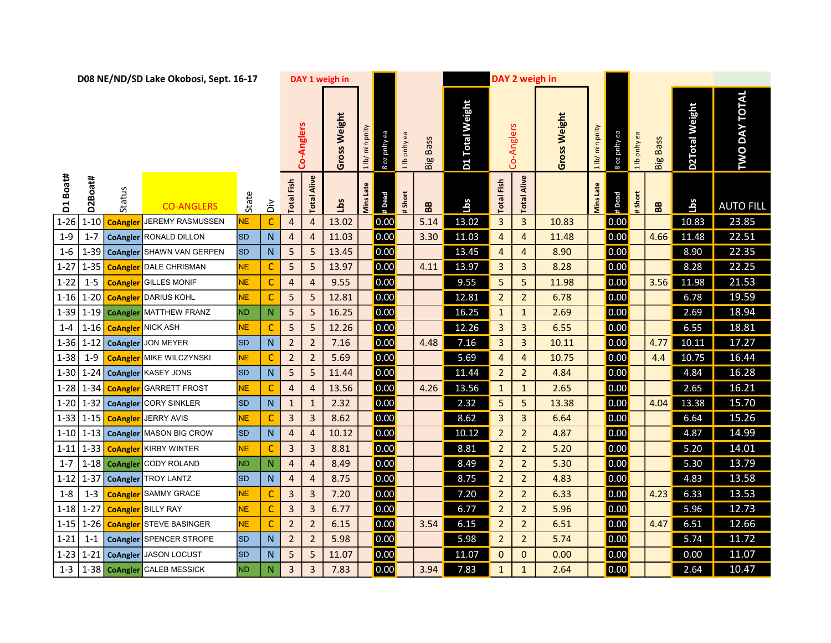|          |          |                | D08 NE/ND/SD Lake Okobosi, Sept. 16-17 |                |                |                         |                | DAY 1 weigh in      |                                          |                                |                   |                           |                      | DAY 2 weigh in |              |                                        |                    |               |                 |                |                      |  |
|----------|----------|----------------|----------------------------------------|----------------|----------------|-------------------------|----------------|---------------------|------------------------------------------|--------------------------------|-------------------|---------------------------|----------------------|----------------|--------------|----------------------------------------|--------------------|---------------|-----------------|----------------|----------------------|--|
|          |          |                |                                        |                |                |                         | Co-Anglers     | <b>Gross Weight</b> | pnlty<br>$\bar{\bar{\epsilon}}$<br>1 lb/ | 8 oz pnity ea<br>1 lb pnity ea | <b>Big Bass</b>   | <b>Total Weight</b><br>D1 |                      | Co-Anglers     | Gross Weight | pnity<br>$\frac{\epsilon}{E}$<br>1 lb/ | 8 oz pnity ea      | 1 lb pnity ea | <b>Big Bass</b> | D2Total Weight | <b>TWO DAY TOTAL</b> |  |
| D1 Boat# | D2Boat#  | Status         | <b>CO-ANGLERS</b>                      | State          | ă              | <b>Total Fish</b>       | Alive<br>Total | Lbs                 | <b>Mins Late</b>                         | #Dead<br>Short                 | ${\bf B} {\bf B}$ | Lbs                       | Fish<br><b>Total</b> | Alive<br>Total |              | <b>Vins</b> Late                       | # Dead             | # Short       | BB              | Lbs            | <b>AUTO FILL</b>     |  |
| $1 - 26$ | $1 - 10$ | <b>CoAngle</b> | <b>JEREMY RASMUSSEN</b>                | NE.            | $\mathsf{C}$   | $\overline{4}$          | $\overline{4}$ | 13.02               |                                          | 0.00                           | 5.14              | 13.02                     | $\mathbf{3}$         | $\mathbf{3}$   | 10.83        |                                        | 0.00               |               |                 | 10.83          | 23.85                |  |
| $1 - 9$  | $1 - 7$  |                | <b>CoAngler</b> RONALD DILLON          | <b>SD</b>      | $\mathsf{N}$   | $\overline{4}$          | $\overline{4}$ | 11.03               |                                          | 0.00                           | 3.30              | 11.03                     | 4                    | $\overline{4}$ | 11.48        |                                        | 0.00               |               | 4.66            | 11.48          | 22.51                |  |
| $1 - 6$  | $1 - 39$ |                | CoAngler SHAWN VAN GERPEN              | <b>SD</b>      | $\mathsf{N}$   | 5                       | 5              | 13.45               |                                          | 0.00                           |                   | 13.45                     | 4                    | $\overline{4}$ | 8.90         |                                        | 0.00               |               |                 | 8.90           | 22.35                |  |
| $1 - 27$ | $1 - 35$ |                | <b>CoAngler</b> DALE CHRISMAN          | <b>NE</b>      | $\mathsf{C}$   | 5                       | 5              | 13.97               |                                          | 0.00                           | 4.11              | 13.97                     | $\overline{3}$       | $\mathbf{3}$   | 8.28         |                                        | 0.00               |               |                 | 8.28           | 22.25                |  |
| $1 - 22$ | $1 - 5$  |                | <b>CoAngler</b> GILLES MONIF           | NE.            | $\mathsf{C}$   | $\overline{4}$          | $\overline{4}$ | 9.55                |                                          | 0.00                           |                   | 9.55                      | 5                    | 5 <sub>5</sub> | 11.98        |                                        | 0.00               |               | 3.56            | 11.98          | 21.53                |  |
| $1 - 16$ | $1-20$   |                | <b>CoAngler</b> DARIUS KOHL            | <b>NE</b>      | $\mathsf{C}$   | 5                       | 5              | 12.81               |                                          | 0.00                           |                   | 12.81                     | $\overline{2}$       | $\overline{2}$ | 6.78         |                                        | 0.00               |               |                 | 6.78           | 19.59                |  |
| $1 - 39$ |          |                | 1-19 CoAngler MATTHEW FRANZ            | N <sub>D</sub> | $\mathbb N$    | 5                       | 5              | 16.25               |                                          | 0.00                           |                   | 16.25                     | $\mathbf{1}$         | $\mathbf{1}$   | 2.69         |                                        | 0.00               |               |                 | 2.69           | 18.94                |  |
| $1 - 4$  | $1 - 16$ |                | <b>CoAngler</b> NICK ASH               | NE.            | C              | 5                       | 5              | 12.26               |                                          | 0.00                           |                   | 12.26                     | 3                    | $\mathbf{3}$   | 6.55         |                                        | 0.00               |               |                 | 6.55           | 18.81                |  |
| $1 - 36$ | $1 - 12$ |                | CoAngler JON MEYER                     | <b>SD</b>      | $\mathsf{N}$   | $\overline{2}$          | $\overline{2}$ | 7.16                |                                          | 0.00                           | 4.48              | 7.16                      | 3                    | $\mathbf{3}$   | 10.11        |                                        | 0.00               |               | 4.77            | 10.11          | 17.27                |  |
| $1 - 38$ | $1-9$    |                | <b>CoAngler</b> MIKE WILCZYNSKI        | NE.            | C              | $\overline{2}$          | $\overline{2}$ | 5.69                |                                          | 0.00                           |                   | 5.69                      | 4                    | $\overline{4}$ | 10.75        |                                        | 0.00               |               | 4.4             | 10.75          | 16.44                |  |
| $1 - 30$ | $1 - 24$ |                | CoAngler KASEY JONS                    | <b>SD</b>      | ${\sf N}$      | 5                       | 5              | 11.44               |                                          | 0.00                           |                   | 11.44                     | $\overline{2}$       | $\overline{2}$ | 4.84         |                                        | 0.00               |               |                 | 4.84           | 16.28                |  |
| $1 - 28$ | $1 - 34$ |                | <b>CoAngler</b> GARRETT FROST          | <b>NE</b>      | C              | $\overline{a}$          | 4              | 13.56               |                                          | 0.00                           | 4.26              | 13.56                     | $\mathbf{1}$         | $\mathbf{1}$   | 2.65         |                                        | 0.00               |               |                 | 2.65           | 16.21                |  |
| $1 - 20$ | $1 - 32$ |                | CoAngler CORY SINKLER                  | <b>SD</b>      | $\mathsf{N}$   | $\mathbf{1}$            | $\mathbf{1}$   | 2.32                |                                          | 0.00                           |                   | 2.32                      | 5                    | 5              | 13.38        |                                        | 0.00               |               | 4.04            | 13.38          | 15.70                |  |
| $1 - 33$ | $1 - 15$ |                | <b>CoAngler</b> JERRY AVIS             | NE.            | C              | $\overline{3}$          | 3              | 8.62                |                                          | 0.00                           |                   | 8.62                      | 3                    | $\mathbf{3}$   | 6.64         |                                        | 0.00               |               |                 | 6.64           | 15.26                |  |
| $1 - 10$ |          |                | 1-13 CoAngler MASON BIG CROW           | <b>SD</b>      | ${\sf N}$      | $\overline{a}$          | 4              | 10.12               |                                          | 0.00                           |                   | 10.12                     | $\overline{2}$       | $\overline{2}$ | 4.87         |                                        | 0.00               |               |                 | 4.87           | 14.99                |  |
| $1 - 11$ | $1 - 33$ |                | <b>CoAngler</b> KIRBY WINTER           | <b>NE</b>      | C              | 3                       | 3              | 8.81                |                                          | 0.00                           |                   | 8.81                      | $\overline{2}$       | $\overline{2}$ | 5.20         |                                        | 0.00               |               |                 | 5.20           | 14.01                |  |
| $1 - 7$  |          |                | 1-18 CoAngler CODY ROLAND              | N <sub>D</sub> | $\mathsf{N}$   | 4                       | 4              | 8.49                |                                          | 0.00                           |                   | 8.49                      | $\overline{2}$       | $\overline{2}$ | 5.30         |                                        | 0.00               |               |                 | 5.30           | 13.79                |  |
| $1 - 12$ | $1 - 37$ |                | CoAngler TROY LANTZ                    | <b>SD</b>      | $\mathsf{N}$   | $\overline{4}$          | $\overline{4}$ | 8.75                |                                          | 0.00                           |                   | 8.75                      | $\overline{2}$       | $2^{\circ}$    | 4.83         |                                        | 0.00               |               |                 | 4.83           | 13.58                |  |
| $1 - 8$  | $1 - 3$  |                | <b>CoAngler</b> SAMMY GRACE            | <b>NE</b>      | $\mathsf C$    | $\mathbf{3}$            | 3              | 7.20                |                                          | 0.00                           |                   | 7.20                      | $\overline{2}$       | $\overline{2}$ | 6.33         |                                        | 0.00               |               | 4.23            | 6.33           | 13.53                |  |
| $1 - 18$ | $1 - 27$ |                | <b>CoAngler</b> BILLY RAY              | <b>NE</b>      | $\mathsf{C}$   | $\mathbf{3}$            | 3              | 6.77                |                                          | 0.00                           |                   | 6.77                      | $\overline{2}$       | $\overline{2}$ | 5.96         |                                        | $\vert 0.00 \vert$ |               |                 | 5.96           | 12.73                |  |
| $1 - 15$ | $1 - 26$ |                | <b>CoAngler</b> STEVE BASINGER         | <b>NE</b>      | $\mathsf{C}$   | $\overline{2}$          | $\overline{2}$ | 6.15                |                                          | 0.00                           | 3.54              | 6.15                      | $\overline{2}$       | $\overline{2}$ | 6.51         |                                        | 0.00               |               | 4.47            | 6.51           | 12.66                |  |
| $1 - 21$ | $1 - 1$  |                | CoAngler SPENCER STROPE                | <b>SD</b>      | N              | $\overline{2}$          | $\overline{2}$ | 5.98                |                                          | 0.00                           |                   | 5.98                      | $\overline{2}$       | $\overline{2}$ | 5.74         |                                        | 0.00               |               |                 | 5.74           | 11.72                |  |
| $1 - 23$ | $1 - 21$ |                | CoAngler JASON LOCUST                  | <b>SD</b>      | N              | 5                       | 5              | 11.07               |                                          | 0.00                           |                   | 11.07                     | 0                    | $\mathbf{0}$   | 0.00         |                                        | 0.00               |               |                 | 0.00           | 11.07                |  |
| $1 - 3$  |          |                | 1-38 CoAngler CALEB MESSICK            | <b>ND</b>      | $\overline{N}$ | $\overline{\mathbf{3}}$ | 3              | 7.83                |                                          | 0.00                           | 3.94              | 7.83                      | $\mathbf{1}$         | $\mathbf{1}$   | 2.64         |                                        | 0.00               |               |                 | 2.64           | 10.47                |  |